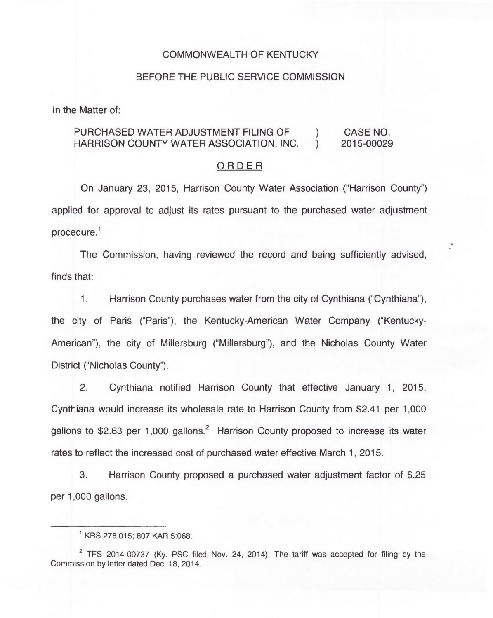## COMMONWEALTH OF KENTUCKY

### BEFORE THE PUBLIC SERVICE COMMISSION

In the Matter of:

## PURCHASED WATER ADJUSTMENT FILING OF  $\qquad$  ) CASE NO.<br>HARRISON COUNTY WATER ASSOCIATION, INC.  $\qquad$  ) 2015-00029 HARRISON COUNTY WATER ASSOCIATION, INC.

## ORDER

On January 23, 2015, Harrison County Water Association ("Harrison County") applied for approval to adjust its rates pursuant to the purchased water adjustment  $procedure<sup>1</sup>$ 

The Commission, having reviewed the record and being sufficiently advised, finds that:

1. Harrison County purchases water from the city of Cynthiana ("Cynthiana"), the city of Paris ("Paris"), the Kentucky-American Water Company ("Kentucky-American"), the city of Millersburg ("Millersburg"), and the Nicholas County Water District ("Nicholas County").

2. Cynthiana notified Harrison County that effective January 1, 2015, Cynthiana would increase its wholesale rate to Harrison County from \$2.41 per 1,000 gallons to \$2.63 per 1,000 gallons.<sup>2</sup> Harrison County proposed to increase its water rates to reflect the increased cost of purchased water effective March 1, 2015.

3. Harrison County proposed a purchased water adjustment factor of \$.25 per 1,000 gallons.

KRS 278.015; 807 KAR 5:068.

 $2$  TFS 2014-00737 (Ky. PSC filed Nov. 24, 2014); The tariff was accepted for filing by the Commission by letter dated Dec. 18, 2014.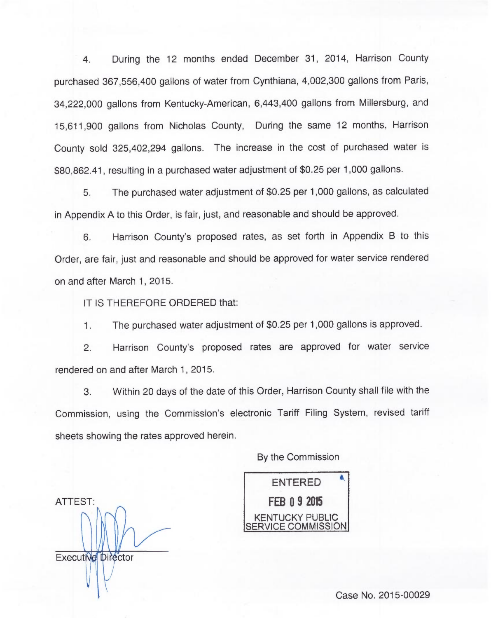4. During the 12 months ended December 31, 2014, Harrison County purchased 367,556,400 gallons of water from Cynthiana, 4,002,300 gallons from Paris, 34,222,000 gallons from Kentucky-American, 6,443,400 gallons from Millersburg, and 15,611,900 gallons from Nicholas County, During the same 12 months, Harrison County sold 325,402,294 gallons. The increase in the cost of purchased water is \$80,862.41, resulting in a purchased water adjustment of \$0.25 per 1,000 gallons.

5. The purchased water adjustment of \$0.25 per 1,000 gallons, as calculated in Appendix A to this Order, is fair, just, and reasonable and should be approved.

6. Harrison County's proposed rates, as set forth in Appendix B to this Order, are fair, just and reasonable and should be approved for water service rendered on and after March 1, 2015.

IT IS THEREFORE ORDERED that:

ATTEST:

Executive Director

1. The purchased water adjustment of \$0.25 per 1,000.gallons is approved.

2. Harrison County's proposed rates are approved for water service rendered on and after March 1, 2015.

3. Within 20 days of the date of this Order, Harrison County shall file with the Commission, using the Commission's electronic Tariff Filing System, revised tariff sheets showing the rates approved herein.

By the Commission

ENTERED **FEB 0 9 2015** KENTUCKY PUBLIC FRVICE COMMISSION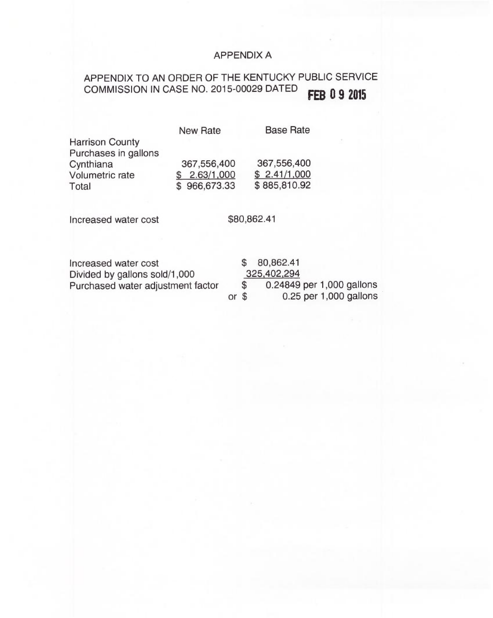# APPENDIX A

## APPENDIX TO AN ORDER OF THE KENTUCKY PUBLIC SERVICE COMMISSION IN CASE NO. 2015-00029 DATED FEB 0 9 2015

|                        | <b>New Rate</b> | <b>Base Rate</b> |
|------------------------|-----------------|------------------|
| <b>Harrison County</b> |                 |                  |
| Purchases in gallons   |                 |                  |
| Cynthiana              | 367,556,400     | 367,556,400      |
| Volumetric rate        | \$2.63/1,000    | \$2.41/1,000     |
| Total                  | \$966,673.33    | \$885,810.92     |

Increased water cost \$80,862.41

|  | \$80,862.41               |
|--|---------------------------|
|  | 325,402,294               |
|  | 0.24849 per 1,000 gallons |
|  | $0.25$ per 1,000 gallons  |
|  | $or$ $\mathcal S$         |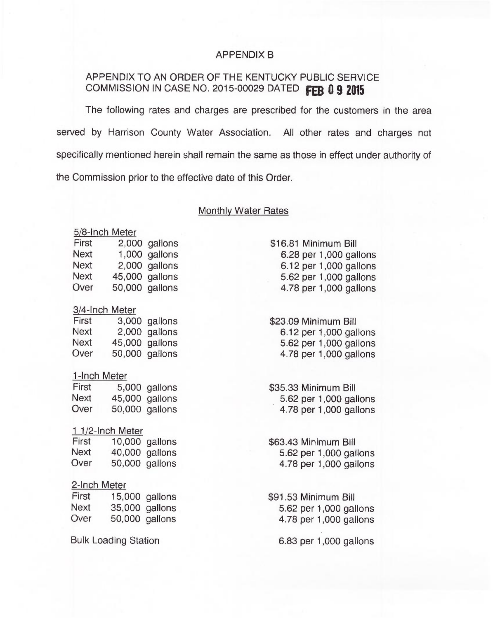## APPENDIX B

## APPENDIX TO AN ORDER OF THE KENTUCKY PUBLIC SERVICE COMMISSION IN CASE NO. 2015-00029 DATED FEB 0 9 2015

The following rates and charges are prescribed for the customers in the area served by Harrison County Water Association. All other rates and charges not specifically mentioned herein shall remain the same as those in effect under authority of the Commission prior to the effective date of this Order.

### Monthly Water Rates

### 5/8-Inch Meter

| First       | 2,000 gallons  |
|-------------|----------------|
| <b>Next</b> | 1,000 gallons  |
| <b>Next</b> | 2,000 gallons  |
| Next        | 45,000 gallons |
| Over        | 50,000 gallons |

### 3/4-Inch Meter

| First | 3,000 gallons  |
|-------|----------------|
| Next  | 2,000 gallons  |
| Next  | 45,000 gallons |
| Over  | 50,000 gallons |

### 1-Inch Meter

| First | 5,000 gallons  |
|-------|----------------|
| Next  | 45,000 gallons |
| Over  | 50,000 gallons |

### $11/2$ -Inch Meter

| First | 10,000 gallons |
|-------|----------------|
| Next  | 40,000 gallons |
| Over  | 50,000 gallons |

### 2-Inch Meter

First 15,000 gallons<br>Next 35,000 gallons Next 35,000 gallons<br>Over 50.000 gallons 50,000 gallons

Bulk Loading Station

\$16.81 Minimum Bill 6.28 per 1,000 gallons 6.12 per 1,000 gallons 5.62 per 1,000 gallons 4.78 per 1,000 gallons

\$23.09 Minimum Bill 6.12 per 1,000 gallons 5.62 per 1,000 gallons 4.78 per 1,000 gallons

\$35.33 Minimum Bill 5.62 per 1,000 gallons 4.78 per 1,000 gallons

\$63.43 Minimum Bill 5.62 per 1,000 gallons 4.78 per 1,000 gallons

\$91.53Minimum Bill 5.62 per 1,000 gallons 4.78 per 1,000 gallons

6.83 per 1,000 gallons